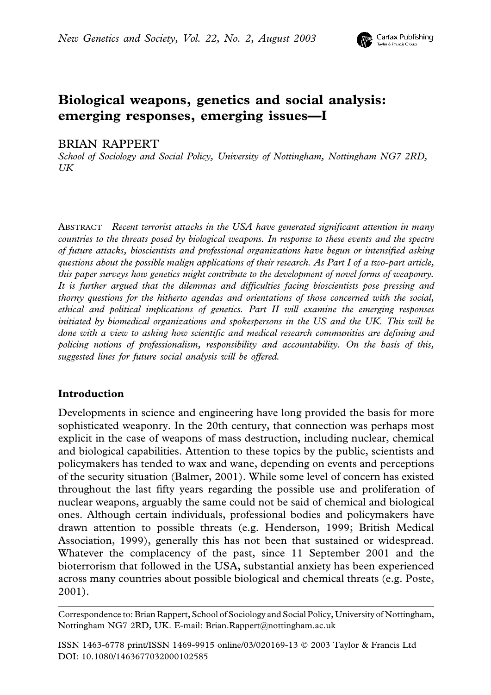# **Biological weapons, genetics and social analysis: emerging responses, emerging issues—I**

# BRIAN RAPPERT

*School of Sociology and Social Policy, University of Nottingham, Nottingham NG7 2RD, UK*

ABSTRACT *Recent terrorist attacks in the USA have generated significant attention in many countries to the threats posed by biological weapons. In response to these events and the spectre of future attacks, bioscientists and professional organizations have begun or intensified asking questions about the possible malign applications of their research. As Part I of a two-part article, this paper surveys how genetics might contribute to the development of novel forms of weaponry. It is further argued that the dilemmas and difficulties facing bioscientists pose pressing and thorny questions for the hitherto agendas and orientations of those concerned with the social, ethical and political implications of genetics. Part II will examine the emerging responses initiated by biomedical organizations and spokespersons in the US and the UK. This will be done with a view to asking how scientific and medical research communities are defining and policing notions of professionalism, responsibility and accountability. On the basis of this, suggested lines for future social analysis will be offered.*

# **Introduction**

Developments in science and engineering have long provided the basis for more sophisticated weaponry. In the 20th century, that connection was perhaps most explicit in the case of weapons of mass destruction, including nuclear, chemical and biological capabilities. Attention to these topics by the public, scientists and policymakers has tended to wax and wane, depending on events and perceptions of the security situation (Balmer, 2001). While some level of concern has existed throughout the last fifty years regarding the possible use and proliferation of nuclear weapons, arguably the same could not be said of chemical and biological ones. Although certain individuals, professional bodies and policymakers have drawn attention to possible threats (e.g. Henderson, 1999; British Medical Association, 1999), generally this has not been that sustained or widespread. Whatever the complacency of the past, since 11 September 2001 and the bioterrorism that followed in the USA, substantial anxiety has been experienced across many countries about possible biological and chemical threats (e.g. Poste, 2001).

Correspondence to: Brian Rappert, School of Sociology and Social Policy, University of Nottingham, Nottingham NG7 2RD, UK. E-mail: Brian.Rappert@nottingham.ac.uk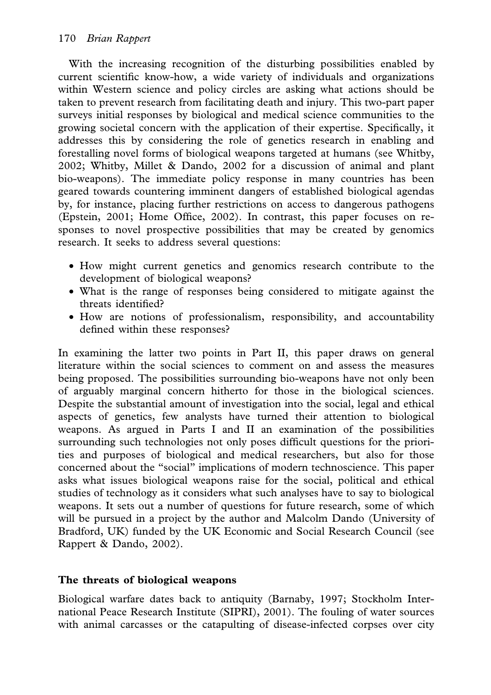# 170 *Brian Rappert*

With the increasing recognition of the disturbing possibilities enabled by current scientific know-how, a wide variety of individuals and organizations within Western science and policy circles are asking what actions should be taken to prevent research from facilitating death and injury. This two-part paper surveys initial responses by biological and medical science communities to the growing societal concern with the application of their expertise. Specifically, it addresses this by considering the role of genetics research in enabling and forestalling novel forms of biological weapons targeted at humans (see Whitby, 2002; Whitby, Millet & Dando, 2002 for a discussion of animal and plant bio-weapons). The immediate policy response in many countries has been geared towards countering imminent dangers of established biological agendas by, for instance, placing further restrictions on access to dangerous pathogens (Epstein, 2001; Home Office, 2002). In contrast, this paper focuses on responses to novel prospective possibilities that may be created by genomics research. It seeks to address several questions:

- How might current genetics and genomics research contribute to the development of biological weapons?
- What is the range of responses being considered to mitigate against the threats identified?
- How are notions of professionalism, responsibility, and accountability defined within these responses?

In examining the latter two points in Part II, this paper draws on general literature within the social sciences to comment on and assess the measures being proposed. The possibilities surrounding bio-weapons have not only been of arguably marginal concern hitherto for those in the biological sciences. Despite the substantial amount of investigation into the social, legal and ethical aspects of genetics, few analysts have turned their attention to biological weapons. As argued in Parts I and II an examination of the possibilities surrounding such technologies not only poses difficult questions for the priorities and purposes of biological and medical researchers, but also for those concerned about the "social" implications of modern technoscience. This paper asks what issues biological weapons raise for the social, political and ethical studies of technology as it considers what such analyses have to say to biological weapons. It sets out a number of questions for future research, some of which will be pursued in a project by the author and Malcolm Dando (University of Bradford, UK) funded by the UK Economic and Social Research Council (see Rappert & Dando, 2002).

## **The threats of biological weapons**

Biological warfare dates back to antiquity (Barnaby, 1997; Stockholm International Peace Research Institute (SIPRI), 2001). The fouling of water sources with animal carcasses or the catapulting of disease-infected corpses over city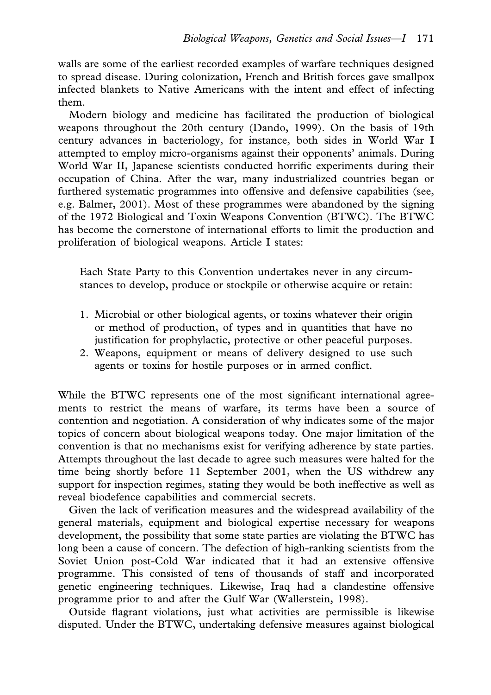walls are some of the earliest recorded examples of warfare techniques designed to spread disease. During colonization, French and British forces gave smallpox infected blankets to Native Americans with the intent and effect of infecting them.

Modern biology and medicine has facilitated the production of biological weapons throughout the 20th century (Dando, 1999). On the basis of 19th century advances in bacteriology, for instance, both sides in World War I attempted to employ micro-organisms against their opponents' animals. During World War II, Japanese scientists conducted horrific experiments during their occupation of China. After the war, many industrialized countries began or furthered systematic programmes into offensive and defensive capabilities (see, e.g. Balmer, 2001). Most of these programmes were abandoned by the signing of the 1972 Biological and Toxin Weapons Convention (BTWC). The BTWC has become the cornerstone of international efforts to limit the production and proliferation of biological weapons. Article I states:

Each State Party to this Convention undertakes never in any circumstances to develop, produce or stockpile or otherwise acquire or retain:

- 1. Microbial or other biological agents, or toxins whatever their origin or method of production, of types and in quantities that have no justification for prophylactic, protective or other peaceful purposes.
- 2. Weapons, equipment or means of delivery designed to use such agents or toxins for hostile purposes or in armed conflict.

While the BTWC represents one of the most significant international agreements to restrict the means of warfare, its terms have been a source of contention and negotiation. A consideration of why indicates some of the major topics of concern about biological weapons today. One major limitation of the convention is that no mechanisms exist for verifying adherence by state parties. Attempts throughout the last decade to agree such measures were halted for the time being shortly before 11 September 2001, when the US withdrew any support for inspection regimes, stating they would be both ineffective as well as reveal biodefence capabilities and commercial secrets.

Given the lack of verification measures and the widespread availability of the general materials, equipment and biological expertise necessary for weapons development, the possibility that some state parties are violating the BTWC has long been a cause of concern. The defection of high-ranking scientists from the Soviet Union post-Cold War indicated that it had an extensive offensive programme. This consisted of tens of thousands of staff and incorporated genetic engineering techniques. Likewise, Iraq had a clandestine offensive programme prior to and after the Gulf War (Wallerstein, 1998).

Outside flagrant violations, just what activities are permissible is likewise disputed. Under the BTWC, undertaking defensive measures against biological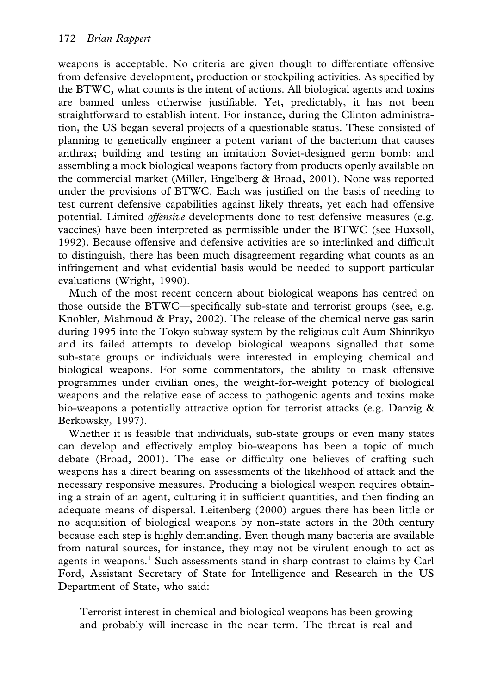weapons is acceptable. No criteria are given though to differentiate offensive from defensive development, production or stockpiling activities. As specified by the BTWC, what counts is the intent of actions. All biological agents and toxins are banned unless otherwise justifiable. Yet, predictably, it has not been straightforward to establish intent. For instance, during the Clinton administration, the US began several projects of a questionable status. These consisted of planning to genetically engineer a potent variant of the bacterium that causes anthrax; building and testing an imitation Soviet-designed germ bomb; and assembling a mock biological weapons factory from products openly available on the commercial market (Miller, Engelberg & Broad, 2001). None was reported under the provisions of BTWC. Each was justified on the basis of needing to test current defensive capabilities against likely threats, yet each had offensive potential. Limited *offensive* developments done to test defensive measures (e.g. vaccines) have been interpreted as permissible under the BTWC (see Huxsoll, 1992). Because offensive and defensive activities are so interlinked and difficult to distinguish, there has been much disagreement regarding what counts as an infringement and what evidential basis would be needed to support particular evaluations (Wright, 1990).

Much of the most recent concern about biological weapons has centred on those outside the BTWC—specifically sub-state and terrorist groups (see, e.g. Knobler, Mahmoud & Pray, 2002). The release of the chemical nerve gas sarin during 1995 into the Tokyo subway system by the religious cult Aum Shinrikyo and its failed attempts to develop biological weapons signalled that some sub-state groups or individuals were interested in employing chemical and biological weapons. For some commentators, the ability to mask offensive programmes under civilian ones, the weight-for-weight potency of biological weapons and the relative ease of access to pathogenic agents and toxins make bio-weapons a potentially attractive option for terrorist attacks (e.g. Danzig & Berkowsky, 1997).

Whether it is feasible that individuals, sub-state groups or even many states can develop and effectively employ bio-weapons has been a topic of much debate (Broad, 2001). The ease or difficulty one believes of crafting such weapons has a direct bearing on assessments of the likelihood of attack and the necessary responsive measures. Producing a biological weapon requires obtaining a strain of an agent, culturing it in sufficient quantities, and then finding an adequate means of dispersal. Leitenberg (2000) argues there has been little or no acquisition of biological weapons by non-state actors in the 20th century because each step is highly demanding. Even though many bacteria are available from natural sources, for instance, they may not be virulent enough to act as agents in weapons. $<sup>1</sup>$  Such assessments stand in sharp contrast to claims by Carl</sup> Ford, Assistant Secretary of State for Intelligence and Research in the US Department of State, who said:

Terrorist interest in chemical and biological weapons has been growing and probably will increase in the near term. The threat is real and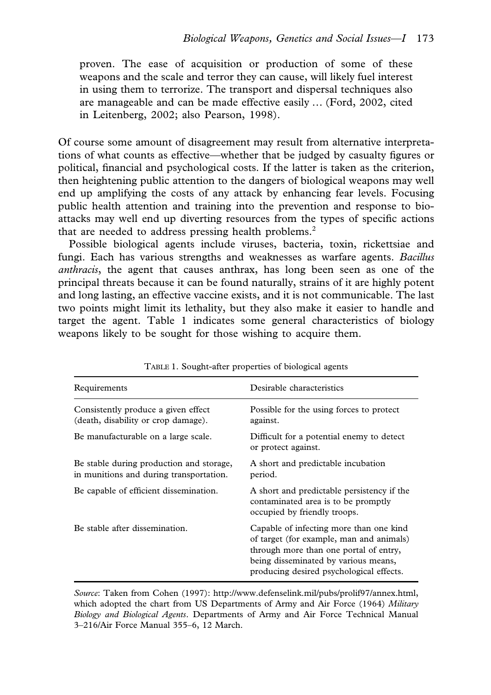proven. The ease of acquisition or production of some of these weapons and the scale and terror they can cause, will likely fuel interest in using them to terrorize. The transport and dispersal techniques also are manageable and can be made effective easily … (Ford, 2002, cited in Leitenberg, 2002; also Pearson, 1998).

Of course some amount of disagreement may result from alternative interpretations of what counts as effective—whether that be judged by casualty figures or political, financial and psychological costs. If the latter is taken as the criterion, then heightening public attention to the dangers of biological weapons may well end up amplifying the costs of any attack by enhancing fear levels. Focusing public health attention and training into the prevention and response to bioattacks may well end up diverting resources from the types of specific actions that are needed to address pressing health problems.<sup>2</sup>

Possible biological agents include viruses, bacteria, toxin, rickettsiae and fungi. Each has various strengths and weaknesses as warfare agents. *Bacillus anthracis*, the agent that causes anthrax, has long been seen as one of the principal threats because it can be found naturally, strains of it are highly potent and long lasting, an effective vaccine exists, and it is not communicable. The last two points might limit its lethality, but they also make it easier to handle and target the agent. Table 1 indicates some general characteristics of biology weapons likely to be sought for those wishing to acquire them.

| Requirements                                                                        | Desirable characteristics                                                                                                                                                                                         |
|-------------------------------------------------------------------------------------|-------------------------------------------------------------------------------------------------------------------------------------------------------------------------------------------------------------------|
| Consistently produce a given effect<br>(death, disability or crop damage).          | Possible for the using forces to protect<br>against.                                                                                                                                                              |
| Be manufacturable on a large scale.                                                 | Difficult for a potential enemy to detect<br>or protect against.                                                                                                                                                  |
| Be stable during production and storage,<br>in munitions and during transportation. | A short and predictable incubation<br>period.                                                                                                                                                                     |
| Be capable of efficient dissemination.                                              | A short and predictable persistency if the<br>contaminated area is to be promptly<br>occupied by friendly troops.                                                                                                 |
| Be stable after dissemination.                                                      | Capable of infecting more than one kind<br>of target (for example, man and animals)<br>through more than one portal of entry,<br>being disseminated by various means,<br>producing desired psychological effects. |

TABLE 1. Sought-after properties of biological agents

*Source*: Taken from Cohen (1997): http://www.defenselink.mil/pubs/prolif97/annex.html, which adopted the chart from US Departments of Army and Air Force (1964) *Military Biology and Biological Agents*. Departments of Army and Air Force Technical Manual 3–216/Air Force Manual 355–6, 12 March.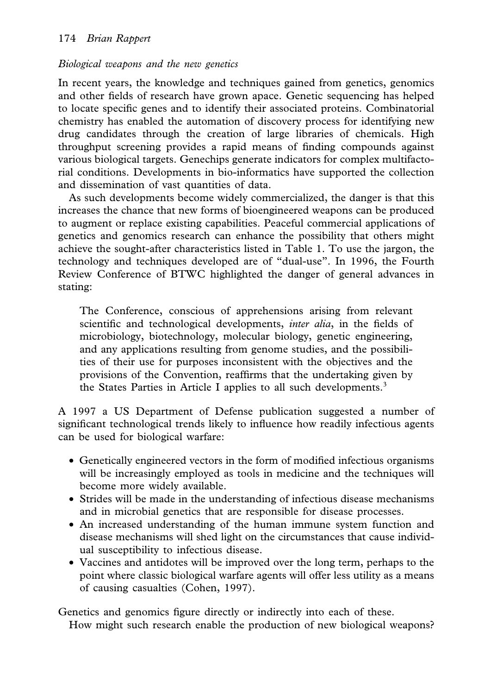# *Biological weapons and the new genetics*

In recent years, the knowledge and techniques gained from genetics, genomics and other fields of research have grown apace. Genetic sequencing has helped to locate specific genes and to identify their associated proteins. Combinatorial chemistry has enabled the automation of discovery process for identifying new drug candidates through the creation of large libraries of chemicals. High throughput screening provides a rapid means of finding compounds against various biological targets. Genechips generate indicators for complex multifactorial conditions. Developments in bio-informatics have supported the collection and dissemination of vast quantities of data.

As such developments become widely commercialized, the danger is that this increases the chance that new forms of bioengineered weapons can be produced to augment or replace existing capabilities. Peaceful commercial applications of genetics and genomics research can enhance the possibility that others might achieve the sought-after characteristics listed in Table 1. To use the jargon, the technology and techniques developed are of "dual-use". In 1996, the Fourth Review Conference of BTWC highlighted the danger of general advances in stating:

The Conference, conscious of apprehensions arising from relevant scientific and technological developments, *inter alia*, in the fields of microbiology, biotechnology, molecular biology, genetic engineering, and any applications resulting from genome studies, and the possibilities of their use for purposes inconsistent with the objectives and the provisions of the Convention, reaffirms that the undertaking given by the States Parties in Article I applies to all such developments.<sup>3</sup>

A 1997 a US Department of Defense publication suggested a number of significant technological trends likely to influence how readily infectious agents can be used for biological warfare:

- Genetically engineered vectors in the form of modified infectious organisms will be increasingly employed as tools in medicine and the techniques will become more widely available.
- Strides will be made in the understanding of infectious disease mechanisms and in microbial genetics that are responsible for disease processes.
- An increased understanding of the human immune system function and disease mechanisms will shed light on the circumstances that cause individual susceptibility to infectious disease.
- Vaccines and antidotes will be improved over the long term, perhaps to the point where classic biological warfare agents will offer less utility as a means of causing casualties (Cohen, 1997).

Genetics and genomics figure directly or indirectly into each of these.

How might such research enable the production of new biological weapons?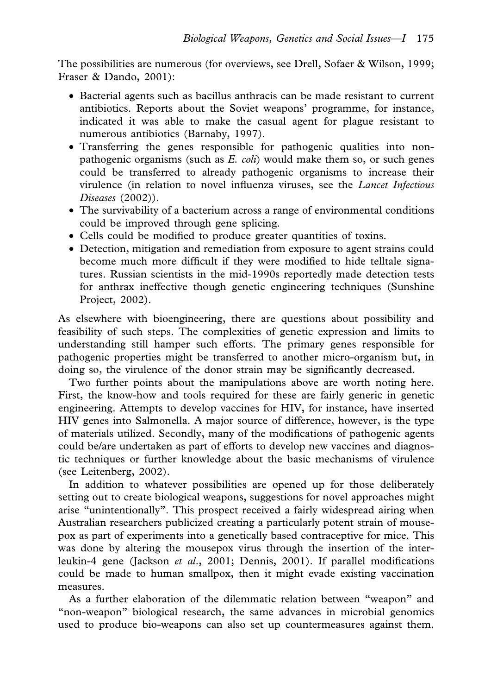The possibilities are numerous (for overviews, see Drell, Sofaer & Wilson, 1999; Fraser & Dando, 2001):

- Bacterial agents such as bacillus anthracis can be made resistant to current antibiotics. Reports about the Soviet weapons' programme, for instance, indicated it was able to make the casual agent for plague resistant to numerous antibiotics (Barnaby, 1997).
- Transferring the genes responsible for pathogenic qualities into nonpathogenic organisms (such as *E. coli*) would make them so, or such genes could be transferred to already pathogenic organisms to increase their virulence (in relation to novel influenza viruses, see the *Lancet Infectious Diseases* (2002)).
- The survivability of a bacterium across a range of environmental conditions could be improved through gene splicing.
- Cells could be modified to produce greater quantities of toxins.
- Detection, mitigation and remediation from exposure to agent strains could become much more difficult if they were modified to hide telltale signatures. Russian scientists in the mid-1990s reportedly made detection tests for anthrax ineffective though genetic engineering techniques (Sunshine Project, 2002).

As elsewhere with bioengineering, there are questions about possibility and feasibility of such steps. The complexities of genetic expression and limits to understanding still hamper such efforts. The primary genes responsible for pathogenic properties might be transferred to another micro-organism but, in doing so, the virulence of the donor strain may be significantly decreased.

Two further points about the manipulations above are worth noting here. First, the know-how and tools required for these are fairly generic in genetic engineering. Attempts to develop vaccines for HIV, for instance, have inserted HIV genes into Salmonella. A major source of difference, however, is the type of materials utilized. Secondly, many of the modifications of pathogenic agents could be/are undertaken as part of efforts to develop new vaccines and diagnostic techniques or further knowledge about the basic mechanisms of virulence (see Leitenberg, 2002).

In addition to whatever possibilities are opened up for those deliberately setting out to create biological weapons, suggestions for novel approaches might arise "unintentionally". This prospect received a fairly widespread airing when Australian researchers publicized creating a particularly potent strain of mousepox as part of experiments into a genetically based contraceptive for mice. This was done by altering the mousepox virus through the insertion of the interleukin-4 gene (Jackson *et al*., 2001; Dennis, 2001). If parallel modifications could be made to human smallpox, then it might evade existing vaccination measures.

As a further elaboration of the dilemmatic relation between "weapon" and "non-weapon" biological research, the same advances in microbial genomics used to produce bio-weapons can also set up countermeasures against them.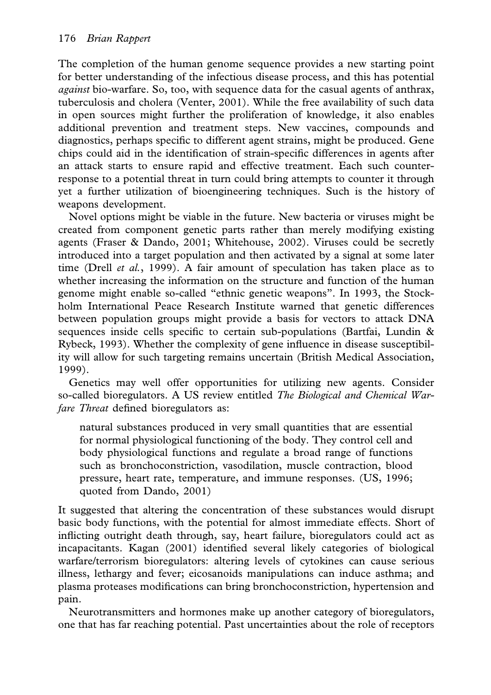The completion of the human genome sequence provides a new starting point for better understanding of the infectious disease process, and this has potential *against* bio-warfare. So, too, with sequence data for the casual agents of anthrax, tuberculosis and cholera (Venter, 2001). While the free availability of such data in open sources might further the proliferation of knowledge, it also enables additional prevention and treatment steps. New vaccines, compounds and diagnostics, perhaps specific to different agent strains, might be produced. Gene chips could aid in the identification of strain-specific differences in agents after an attack starts to ensure rapid and effective treatment. Each such counterresponse to a potential threat in turn could bring attempts to counter it through yet a further utilization of bioengineering techniques. Such is the history of weapons development.

Novel options might be viable in the future. New bacteria or viruses might be created from component genetic parts rather than merely modifying existing agents (Fraser & Dando, 2001; Whitehouse, 2002). Viruses could be secretly introduced into a target population and then activated by a signal at some later time (Drell *et al.*, 1999). A fair amount of speculation has taken place as to whether increasing the information on the structure and function of the human genome might enable so-called "ethnic genetic weapons". In 1993, the Stockholm International Peace Research Institute warned that genetic differences between population groups might provide a basis for vectors to attack DNA sequences inside cells specific to certain sub-populations (Bartfai, Lundin & Rybeck, 1993). Whether the complexity of gene influence in disease susceptibility will allow for such targeting remains uncertain (British Medical Association, 1999).

Genetics may well offer opportunities for utilizing new agents. Consider so-called bioregulators. A US review entitled *The Biological and Chemical Warfare Threat* defined bioregulators as:

natural substances produced in very small quantities that are essential for normal physiological functioning of the body. They control cell and body physiological functions and regulate a broad range of functions such as bronchoconstriction, vasodilation, muscle contraction, blood pressure, heart rate, temperature, and immune responses. (US, 1996; quoted from Dando, 2001)

It suggested that altering the concentration of these substances would disrupt basic body functions, with the potential for almost immediate effects. Short of inflicting outright death through, say, heart failure, bioregulators could act as incapacitants. Kagan (2001) identified several likely categories of biological warfare/terrorism bioregulators: altering levels of cytokines can cause serious illness, lethargy and fever; eicosanoids manipulations can induce asthma; and plasma proteases modifications can bring bronchoconstriction, hypertension and pain.

Neurotransmitters and hormones make up another category of bioregulators, one that has far reaching potential. Past uncertainties about the role of receptors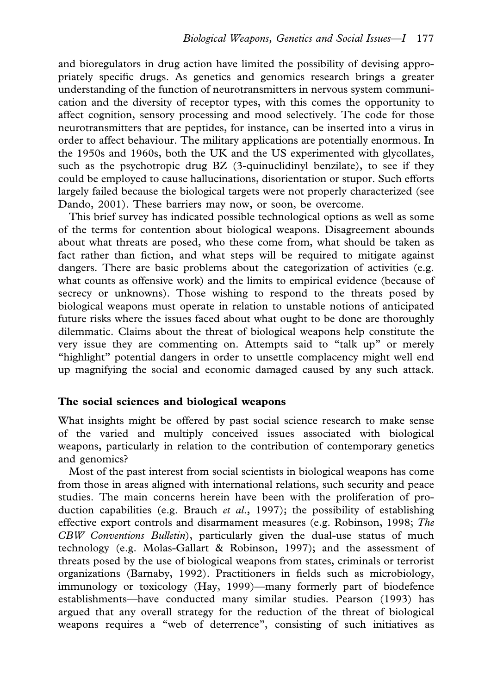and bioregulators in drug action have limited the possibility of devising appropriately specific drugs. As genetics and genomics research brings a greater understanding of the function of neurotransmitters in nervous system communication and the diversity of receptor types, with this comes the opportunity to affect cognition, sensory processing and mood selectively. The code for those neurotransmitters that are peptides, for instance, can be inserted into a virus in order to affect behaviour. The military applications are potentially enormous. In the 1950s and 1960s, both the UK and the US experimented with glycollates, such as the psychotropic drug BZ (3-quinuclidinyl benzilate), to see if they could be employed to cause hallucinations, disorientation or stupor. Such efforts largely failed because the biological targets were not properly characterized (see Dando, 2001). These barriers may now, or soon, be overcome.

This brief survey has indicated possible technological options as well as some of the terms for contention about biological weapons. Disagreement abounds about what threats are posed, who these come from, what should be taken as fact rather than fiction, and what steps will be required to mitigate against dangers. There are basic problems about the categorization of activities (e.g. what counts as offensive work) and the limits to empirical evidence (because of secrecy or unknowns). Those wishing to respond to the threats posed by biological weapons must operate in relation to unstable notions of anticipated future risks where the issues faced about what ought to be done are thoroughly dilemmatic. Claims about the threat of biological weapons help constitute the very issue they are commenting on. Attempts said to "talk up" or merely "highlight" potential dangers in order to unsettle complacency might well end up magnifying the social and economic damaged caused by any such attack.

## **The social sciences and biological weapons**

What insights might be offered by past social science research to make sense of the varied and multiply conceived issues associated with biological weapons, particularly in relation to the contribution of contemporary genetics and genomics?

Most of the past interest from social scientists in biological weapons has come from those in areas aligned with international relations, such security and peace studies. The main concerns herein have been with the proliferation of production capabilities (e.g. Brauch *et al*., 1997); the possibility of establishing effective export controls and disarmament measures (e.g. Robinson, 1998; *The CBW Conventions Bulletin*), particularly given the dual-use status of much technology (e.g. Molas-Gallart & Robinson, 1997); and the assessment of threats posed by the use of biological weapons from states, criminals or terrorist organizations (Barnaby, 1992). Practitioners in fields such as microbiology, immunology or toxicology (Hay, 1999)—many formerly part of biodefence establishments—have conducted many similar studies. Pearson (1993) has argued that any overall strategy for the reduction of the threat of biological weapons requires a "web of deterrence", consisting of such initiatives as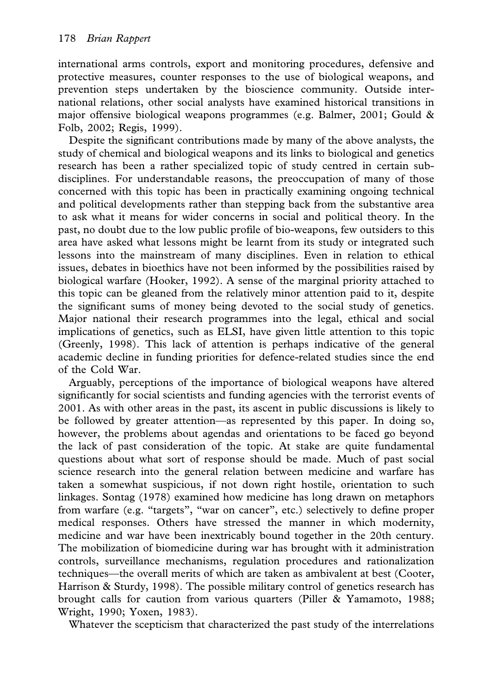international arms controls, export and monitoring procedures, defensive and protective measures, counter responses to the use of biological weapons, and prevention steps undertaken by the bioscience community. Outside international relations, other social analysts have examined historical transitions in major offensive biological weapons programmes (e.g. Balmer, 2001; Gould & Folb, 2002; Regis, 1999).

Despite the significant contributions made by many of the above analysts, the study of chemical and biological weapons and its links to biological and genetics research has been a rather specialized topic of study centred in certain subdisciplines. For understandable reasons, the preoccupation of many of those concerned with this topic has been in practically examining ongoing technical and political developments rather than stepping back from the substantive area to ask what it means for wider concerns in social and political theory. In the past, no doubt due to the low public profile of bio-weapons, few outsiders to this area have asked what lessons might be learnt from its study or integrated such lessons into the mainstream of many disciplines. Even in relation to ethical issues, debates in bioethics have not been informed by the possibilities raised by biological warfare (Hooker, 1992). A sense of the marginal priority attached to this topic can be gleaned from the relatively minor attention paid to it, despite the significant sums of money being devoted to the social study of genetics. Major national their research programmes into the legal, ethical and social implications of genetics, such as ELSI, have given little attention to this topic (Greenly, 1998). This lack of attention is perhaps indicative of the general academic decline in funding priorities for defence-related studies since the end of the Cold War.

Arguably, perceptions of the importance of biological weapons have altered significantly for social scientists and funding agencies with the terrorist events of 2001. As with other areas in the past, its ascent in public discussions is likely to be followed by greater attention—as represented by this paper. In doing so, however, the problems about agendas and orientations to be faced go beyond the lack of past consideration of the topic. At stake are quite fundamental questions about what sort of response should be made. Much of past social science research into the general relation between medicine and warfare has taken a somewhat suspicious, if not down right hostile, orientation to such linkages. Sontag (1978) examined how medicine has long drawn on metaphors from warfare (e.g. "targets", "war on cancer", etc.) selectively to define proper medical responses. Others have stressed the manner in which modernity, medicine and war have been inextricably bound together in the 20th century. The mobilization of biomedicine during war has brought with it administration controls, surveillance mechanisms, regulation procedures and rationalization techniques—the overall merits of which are taken as ambivalent at best (Cooter, Harrison & Sturdy, 1998). The possible military control of genetics research has brought calls for caution from various quarters (Piller & Yamamoto, 1988; Wright, 1990; Yoxen, 1983).

Whatever the scepticism that characterized the past study of the interrelations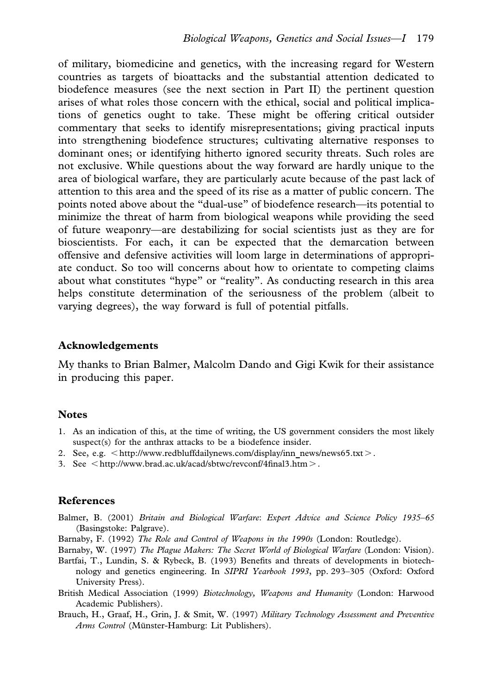of military, biomedicine and genetics, with the increasing regard for Western countries as targets of bioattacks and the substantial attention dedicated to biodefence measures (see the next section in Part II) the pertinent question arises of what roles those concern with the ethical, social and political implications of genetics ought to take. These might be offering critical outsider commentary that seeks to identify misrepresentations; giving practical inputs into strengthening biodefence structures; cultivating alternative responses to dominant ones; or identifying hitherto ignored security threats. Such roles are not exclusive. While questions about the way forward are hardly unique to the area of biological warfare, they are particularly acute because of the past lack of attention to this area and the speed of its rise as a matter of public concern. The points noted above about the "dual-use" of biodefence research—its potential to minimize the threat of harm from biological weapons while providing the seed of future weaponry—are destabilizing for social scientists just as they are for bioscientists. For each, it can be expected that the demarcation between offensive and defensive activities will loom large in determinations of appropriate conduct. So too will concerns about how to orientate to competing claims about what constitutes "hype" or "reality". As conducting research in this area helps constitute determination of the seriousness of the problem (albeit to varying degrees), the way forward is full of potential pitfalls.

#### **Acknowledgements**

My thanks to Brian Balmer, Malcolm Dando and Gigi Kwik for their assistance in producing this paper.

## **Notes**

- 1. As an indication of this, at the time of writing, the US government considers the most likely suspect(s) for the anthrax attacks to be a biodefence insider.
- 2. See, e.g. < http://www.redbluffdailynews.com/display/inn\_news/news65.txt > .
- 3. See < http://www.brad.ac.uk/acad/sbtwc/revconf/4final3.htm >.

## **References**

- Balmer, B. (2001) *Britain and Biological Warfare*: *Expert Advice and Science Policy 1935–65* (Basingstoke: Palgrave).
- Barnaby, F. (1992) *The Role and Control of Weapons in the 1990s* (London: Routledge).

Barnaby, W. (1997) *The Plague Makers: The Secret World of Biological Warfare* (London: Vision).

- Bartfai, T., Lundin, S. & Rybeck, B. (1993) Benefits and threats of developments in biotechnology and genetics engineering. In *SIPRI Yearbook 1993*, pp. 293–305 (Oxford: Oxford University Press).
- British Medical Association (1999) *Biotechnology, Weapons and Humanity* (London: Harwood Academic Publishers).
- Brauch, H., Graaf, H., Grin, J. & Smit, W. (1997) *Military Technology Assessment and Preventive* Arms Control (Münster-Hamburg: Lit Publishers).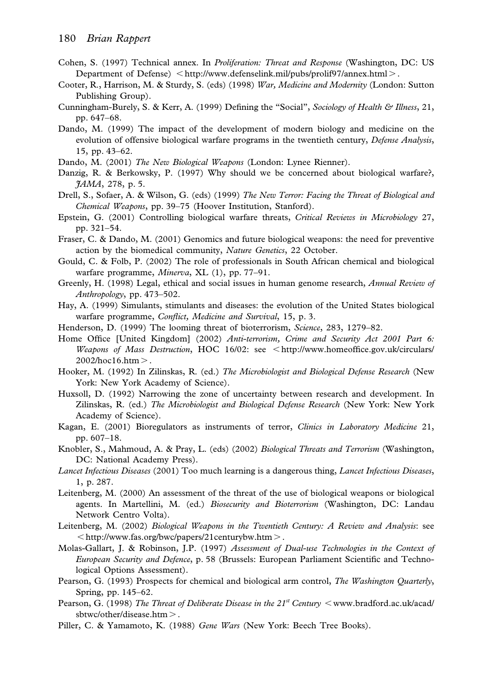- Cohen, S. (1997) Technical annex. In *Proliferation: Threat and Response* (Washington, DC: US Department of Defense) < http://www.defenselink.mil/pubs/prolif97/annex.html >.
- Cooter, R., Harrison, M. & Sturdy, S. (eds) (1998) *War, Medicine and Modernity* (London: Sutton Publishing Group).
- Cunningham-Burely, S. & Kerr, A. (1999) Defining the "Social", *Sociology of Health & Illness*, 21, pp. 647–68.
- Dando, M. (1999) The impact of the development of modern biology and medicine on the evolution of offensive biological warfare programs in the twentieth century, *Defense Analysis*, 15, pp. 43–62.
- Dando, M. (2001) *The New Biological Weapons* (London: Lynee Rienner).
- Danzig, R. & Berkowsky, P. (1997) Why should we be concerned about biological warfare?, *JAMA*, 278, p. 5.
- Drell, S., Sofaer, A. & Wilson, G. (eds) (1999) *The New Terror: Facing the Threat of Biological and Chemical Weapons*, pp. 39–75 (Hoover Institution, Stanford).
- Epstein, G. (2001) Controlling biological warfare threats, *Critical Reviews in Microbiology* 27, pp. 321–54.
- Fraser, C. & Dando, M. (2001) Genomics and future biological weapons: the need for preventive action by the biomedical community, *Nature Genetics*, 22 October.
- Gould, C. & Folb, P. (2002) The role of professionals in South African chemical and biological warfare programme, *Minerva*, XL (1), pp. 77–91.
- Greenly, H. (1998) Legal, ethical and social issues in human genome research, *Annual Review of Anthropology*, pp. 473–502.
- Hay, A. (1999) Simulants, stimulants and diseases: the evolution of the United States biological warfare programme, *Conflict, Medicine and Survival*, 15, p. 3.
- Henderson, D. (1999) The looming threat of bioterrorism, *Science*, 283, 1279–82.
- Home Office [United Kingdom] (2002) *Anti-terrorism, Crime and Security Act 2001 Part 6:* Weapons of Mass Destruction, HOC 16/02: see < http://www.homeoffice.gov.uk/circulars/  $2002/hoc16.htm$ .
- Hooker, M. (1992) In Zilinskas, R. (ed.) *The Microbiologist and Biological Defense Research* (New York: New York Academy of Science).
- Huxsoll, D. (1992) Narrowing the zone of uncertainty between research and development. In Zilinskas, R. (ed.) *The Microbiologist and Biological Defense Research* (New York: New York Academy of Science).
- Kagan, E. (2001) Bioregulators as instruments of terror, *Clinics in Laboratory Medicine* 21, pp. 607–18.
- Knobler, S., Mahmoud, A. & Pray, L. (eds) (2002) *Biological Threats and Terrorism* (Washington, DC: National Academy Press).
- *Lancet Infectious Diseases* (2001) Too much learning is a dangerous thing, *Lancet Infectious Diseases*, 1, p. 287.
- Leitenberg, M. (2000) An assessment of the threat of the use of biological weapons or biological agents. In Martellini, M. (ed.) *Biosecurity and Bioterrorism* (Washington, DC: Landau Network Centro Volta).
- Leitenberg, M. (2002) *Biological Weapons in the Twentieth Century: A Review and Analysis*: see < http://www.fas.org/bwc/papers/21centurybw.htm >.
- Molas-Gallart, J. & Robinson, J.P. (1997) *Assessment of Dual-use Technologies in the Context of European Security and Defence*, p. 58 (Brussels: European Parliament Scientific and Technological Options Assessment).
- Pearson, G. (1993) Prospects for chemical and biological arm control, *The Washington Quarterly*, Spring, pp. 145–62.
- Pearson, G. (1998) *The Threat of Deliberate Disease in the 21<sup>st</sup> Century* < www.bradford.ac.uk/acad/ sbtwc/other/disease.htm .
- Piller, C. & Yamamoto, K. (1988) *Gene Wars* (New York: Beech Tree Books).